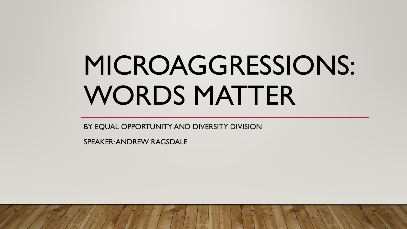# MICROAGGRESSIONS: WORDS MATTER

BY EQUAL OPPORTUNITY AND DIVERSITY DIVISION

SPEAKER: ANDREW RAGSDALE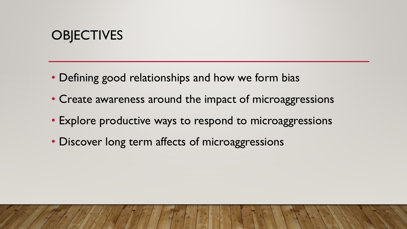## **OBJECTIVES**

- Defining good relationships and how we form bias
- Create awareness around the impact of microaggressions
- Explore productive ways to respond to microaggressions
- Discover long term affects of microaggressions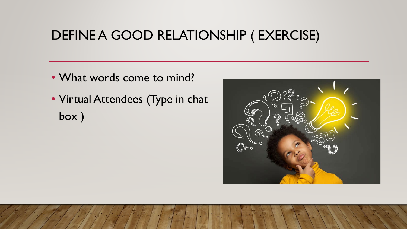#### DEFINE A GOOD RELATIONSHIP ( EXERCISE)

- What words come to mind?
- Virtual Attendees (Type in chat box )

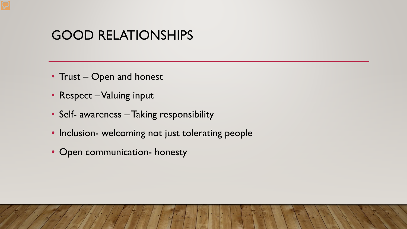#### GOOD RELATIONSHIPS

- Trust Open and honest
- Respect Valuing input
- Self- awareness Taking responsibility
- Inclusion- welcoming not just tolerating people
- Open communication- honesty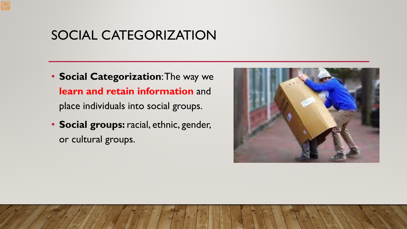#### SOCIAL CATEGORIZATION

- **Social Categorization**: The way we **learn and retain information** and place individuals into social groups.
- **Social groups:** racial, ethnic, gender, or cultural groups.

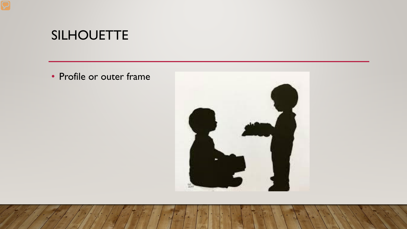#### SILHOUETTE

• Profile or outer frame

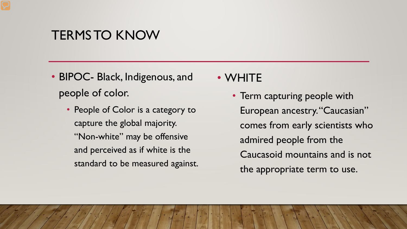#### TERMS TO KNOW

- BIPOC- Black, Indigenous, and people of color.
	- People of Color is a category to capture the global majority. "Non-white" may be offensive and perceived as if white is the standard to be measured against.

#### • WHITE

• Term capturing people with European ancestry. "Caucasian" comes from early scientists who admired people from the Caucasoid mountains and is not the appropriate term to use.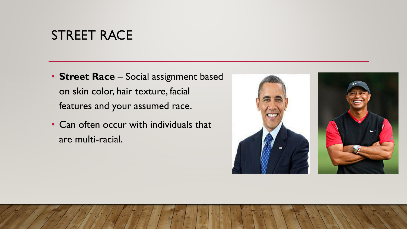#### STREET RACE

- **Street Race** Social assignment based on skin color, hair texture, facial features and your assumed race.
- Can often occur with individuals that are multi-racial.

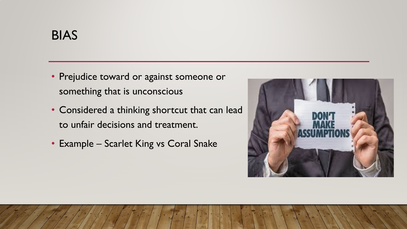- Prejudice toward or against someone or something that is unconscious
- Considered a thinking shortcut that can lead to unfair decisions and treatment.
- Example Scarlet King vs Coral Snake

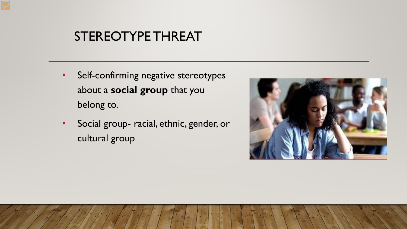#### STEREOTYPE THREAT

- Self-confirming negative stereotypes about a **social group** that you belong to.
- Social group- racial, ethnic, gender, or cultural group

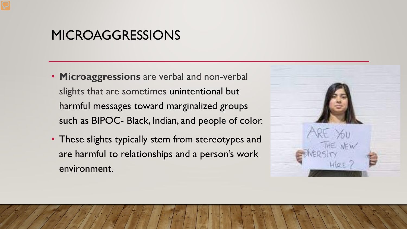#### MICROAGGRESSIONS

- **Microaggressions** are verbal and non-verbal slights that are sometimes unintentional but harmful messages toward marginalized groups such as BIPOC- Black, Indian, and people of color.
- These slights typically stem from stereotypes and are harmful to relationships and a person's work environment.

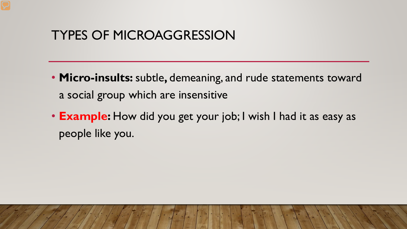#### TYPES OF MICROAGGRESSION

- **Micro-insults:** subtle**,** demeaning, and rude statements toward a social group which are insensitive
- **Example:** How did you get your job; I wish I had it as easy as people like you.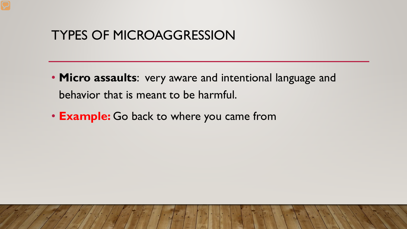#### TYPES OF MICROAGGRESSION

- **Micro assaults**: very aware and intentional language and behavior that is meant to be harmful.
- **Example:** Go back to where you came from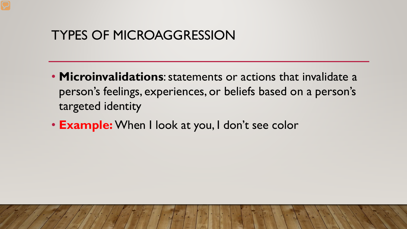#### TYPES OF MICROAGGRESSION

- **Microinvalidations**: statements or actions that invalidate a person's feelings, experiences, or beliefs based on a person's targeted identity
- **Example:** When I look at you, I don't see color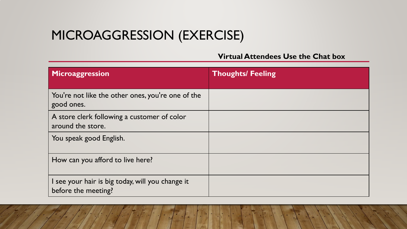## MICROAGGRESSION (EXERCISE)

#### **Virtual Attendees Use the Chat box**

| Microaggression                                                         | <b>Thoughts/ Feeling</b> |
|-------------------------------------------------------------------------|--------------------------|
| You're not like the other ones, you're one of the<br>good ones.         |                          |
| A store clerk following a customer of color<br>around the store.        |                          |
| You speak good English.                                                 |                          |
| How can you afford to live here?                                        |                          |
| I see your hair is big today, will you change it<br>before the meeting? |                          |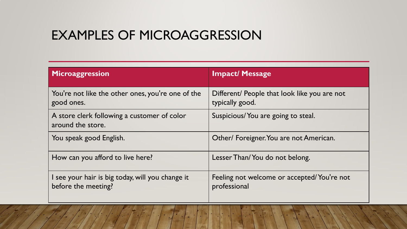#### EXAMPLES OF MICROAGGRESSION

| Microaggression                                                         | <b>Impact/ Message</b>                                          |
|-------------------------------------------------------------------------|-----------------------------------------------------------------|
| You're not like the other ones, you're one of the<br>good ones.         | Different/ People that look like you are not<br>typically good. |
| A store clerk following a customer of color<br>around the store.        | Suspicious/You are going to steal.                              |
| You speak good English.                                                 | Other/ Foreigner. You are not American.                         |
| How can you afford to live here?                                        | Lesser Than/You do not belong.                                  |
| I see your hair is big today, will you change it<br>before the meeting? | Feeling not welcome or accepted/You're not<br>professional      |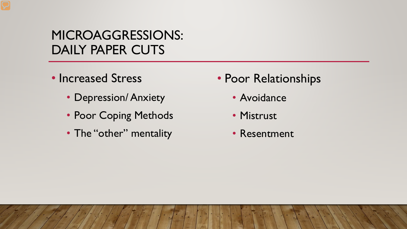#### MICROAGGRESSIONS: DAILY PAPER CUTS

- Increased Stress
	- Depression/ Anxiety
	- Poor Coping Methods
	- The "other" mentality
- Poor Relationships
	- Avoidance
	- Mistrust
	- Resentment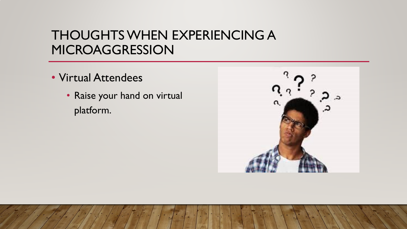#### THOUGHTS WHEN EXPERIENCING A MICROAGGRESSION

- Virtual Attendees
	- Raise your hand on virtual platform.

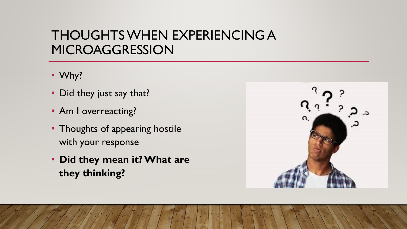#### THOUGHTS WHEN EXPERIENCING A MICROAGGRESSION

- Why?
- Did they just say that?
- Am I overreacting?
- Thoughts of appearing hostile with your response
- **Did they mean it? What are they thinking?**

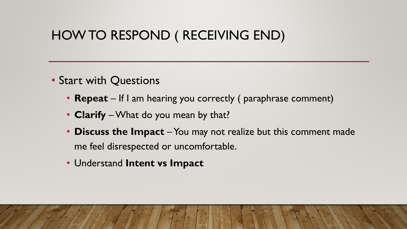#### HOW TO RESPOND ( RECEIVING END)

- Start with Questions
	- **Repeat** If I am hearing you correctly (paraphrase comment)
	- **Clarify** –What do you mean by that?
	- **Discuss the Impact** You may not realize but this comment made me feel disrespected or uncomfortable.
	- Understand **Intent vs Impact**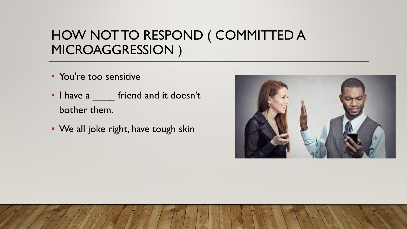#### HOW NOT TO RESPOND ( COMMITTED A MICROAGGRESSION )

- You're too sensitive
- I have a <u>secontifier friend</u> and it doesn't bother them.
- We all joke right, have tough skin

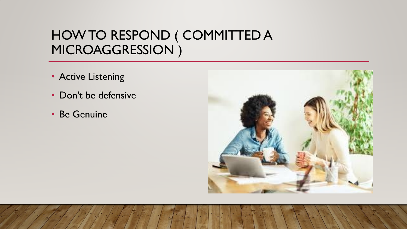#### HOW TO RESPOND ( COMMITTED A MICROAGGRESSION )

- Active Listening
- Don't be defensive
- Be Genuine

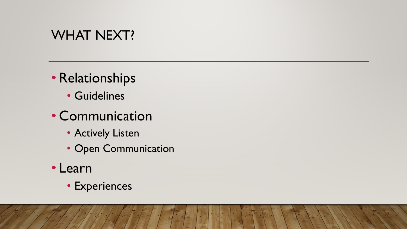#### WHAT NEXT?

- Relationships
	- Guidelines
- Communication
	- Actively Listen
	- Open Communication
- Learn
	- Experiences